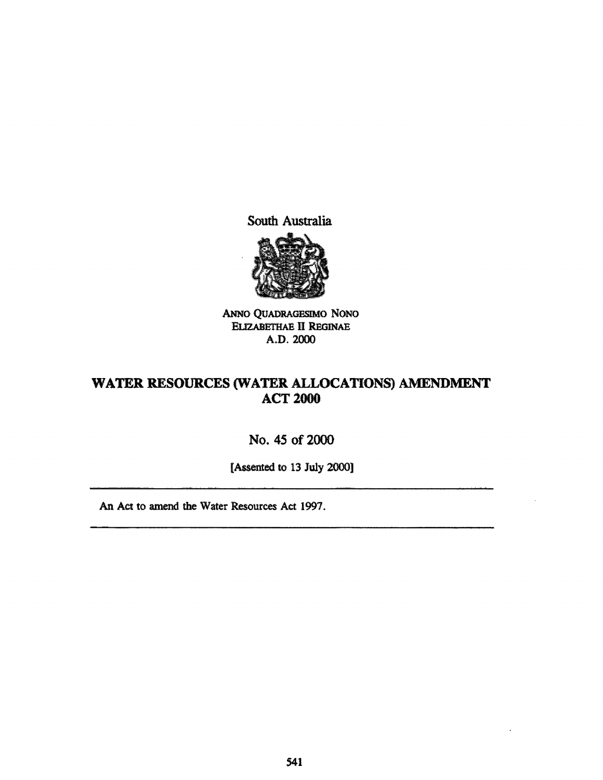South Australia



ANNO QUADRAGESIMO NONO ELIZABETHAE II REGINAE A.D. 2000

# WATER RESOURCES (WATER ALLOCATIONS) AMENDMENT **ACT 2000**

# No. 45 of 2000

[Assented to 13 July 2000]

An Act to amend the Water Resources Act 1997.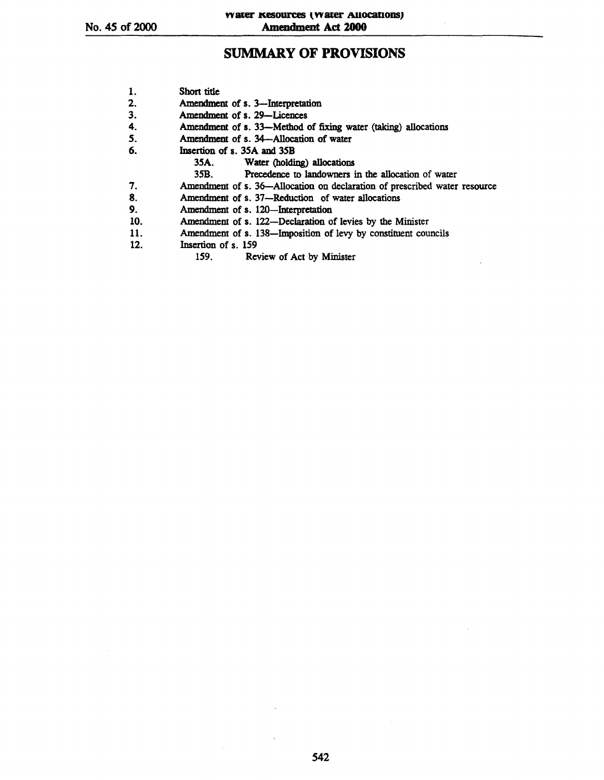# **SUMMARY OF PROVISIONS**

| 1.  | Short title                                                               |
|-----|---------------------------------------------------------------------------|
| 2.  | Amendment of s. 3-Interpretation                                          |
| 3.  | Amendment of s. 29—Licences                                               |
| 4.  | Amendment of s. 33—Method of fixing water (taking) allocations            |
| 5.  | Amendment of s. 34—Allocation of water                                    |
| 6.  | Insertion of s. 35A and 35B                                               |
|     | 35A. Water (holding) allocations                                          |
|     | Precedence to landowners in the allocation of water<br>35B.               |
| 7.  | Amendment of s. 36-Allocation on declaration of prescribed water resource |
| 8.  | Amendment of s. 37—Reduction of water allocations                         |
| 9.  | Amendment of s. 120-Interpretation                                        |
| 10. | Amendment of s. 122-Declaration of levies by the Minister                 |
| 11. | Amendment of s. 138—Imposition of levy by constituent councils            |
| 12. | Insertion of s. 159                                                       |
|     | Review of Act by Minister<br>159.                                         |
|     |                                                                           |

 $\bar{r}$ 

 $\hat{\mathcal{A}}$ 

 $\sim$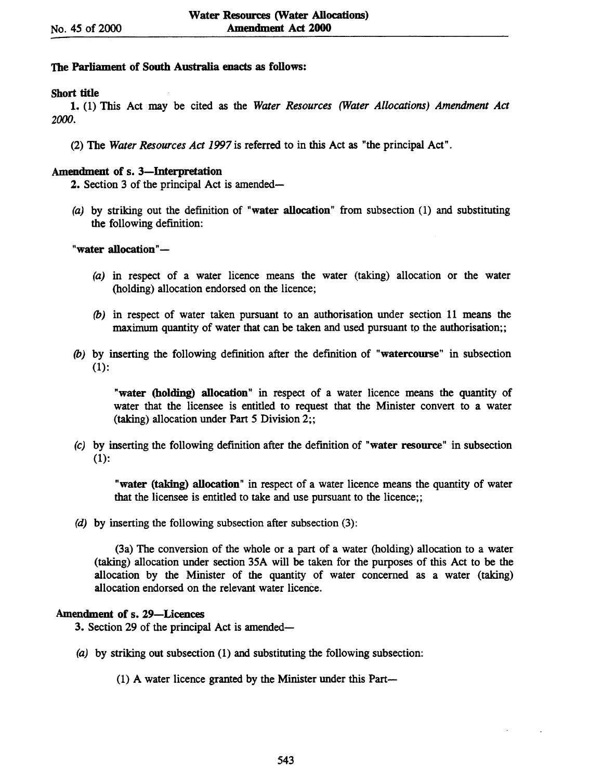## The Parliament of South Australia enacts as follows:

# Short title

1. (1) This Act may be cited as the *Water Resources (Water Allocations) Amendment Act*  2000.

(2) The *Water Resources Act* 1997 is referred to in this Act as "the principal Act".

### Amendment of s. 3—Interpretation

2. Section 3 of the principal Act is amended-

(a) by striking out the definition of "water allocation" from subsection (1) and substituting the following definition:

## "water allocation"-

- (a) in respect of a water licence means the water (taking) allocation or the water (holding) allocation endorsed on the licence;
- (b) in respect of water taken pursuant to an authorisation under section 11 means the  $maximum$  quantity of water that can be taken and used pursuant to the authorisation;;
- (b) by inserting the following definition after the definition of "watercourse" in subsection (1):

"water (holding) allocation" in respect of a water licence means the quantity of water that the licensee is entitled to request that the Minister convert to a water (taking) allocation under Part 5 Division 2;;

(c) by inserting the following definition after the definition of "water resource" in subsection (1):

"water (taking) allocation" in respect of a water licence means the quantity of water that the licensee is entitled to take and use pursuant to the licence;;

(d) by inserting the following subsection after subsection (3):

(3a) The conversion of the whole or a part of a water (holding) allocation to a water (taking) allocation under section 35A will be taken for the purposes of this Act to be the allocation by the Minister of the quantity of water concerned as a water (taking) allocation endorsed on the relevant water licence.

## Amendment of s. 29-Licences

3. Section 29 of the principal Act is amended-

(a) by striking out subsection (1) and substituting the following subsection:

(1) A water licence granted by the Minister under this Part-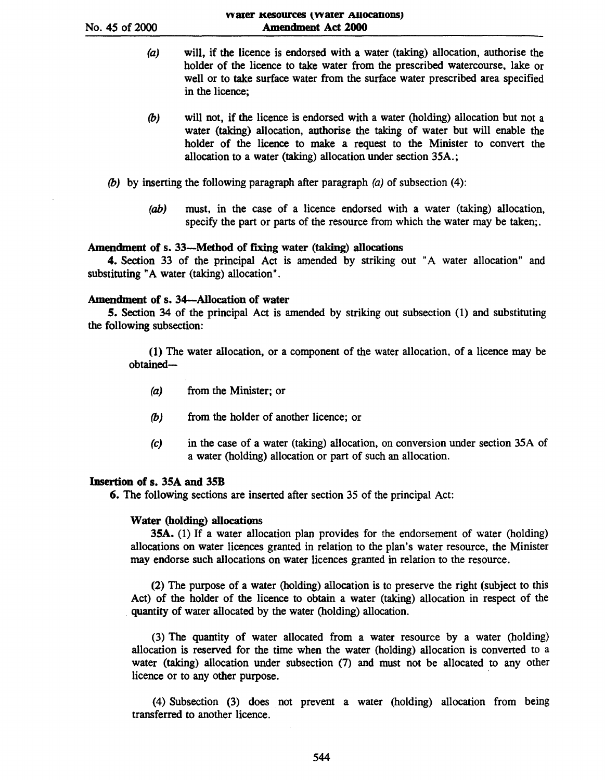- (a) will, if the licence is endorsed with a water (taking) allocation, authorise the holder of the licence to take water from the prescribed watercourse, lake or well or to take surface water from the surface water prescribed area specified in the licence;
- *(b)*  will not, if the licence is endorsed with a water (holding) allocation but not a water (taking) allocation, authorise the taking of water but will enable the holder of the licence to make a request to the Minister to convert the allocation to a water (taking) allocation under section 35A.;
- (b) by inserting the following paragraph after paragraph  $(a)$  of subsection (4):
	- (ab) must, in the case of a licence endorsed with a water (taking) allocation, specify the part or parts of the resource from which the water may be taken;

#### Amendment of s. 33—Method of fixing water (taking) allocations

4. Section 33 of the principal Act is amended by striking out "A water allocation" and substituting "A water (taking) allocation".

#### Amendment of s. 34-Allocation of water

5. Section 34 of the principal Act is amended by striking out subsection (1) and substituting the following subsection:

(1) The water allocation, or a component of the water allocation, of a licence may be obtained-

- (a) from the Minister; or
- *(b)* from the holder of another licence; or
- (c) in the case of a water (taking) allocation, on conversion under section 35A of a water (holding) allocation or part of such an allocation.

#### Insertion of s. 35A and 35B

6. The following sections are inserted after section 35 of the principal Act:

#### Water (holding) allocations

35A. (1) If a water allocation plan provides for the endorsement of water (holding) allocations on water licences granted in relation to the plan's water resource, the Minister may endorse such allocations on water licences granted in relation to the resource.

(2) The purpose of a water (holding) allocation is to preserve the right (subject to this Act) of the holder of the licence to obtain a water (taking) allocation in respect of the quantity of water allocated by the water (holding) allocation.

(3) The quantity of water allocated from a water resource by a water (holding) allocation is reserved for the time when the water (holding) allocation is converted to a water (taking) allocation under subsection (7) and must not be allocated to any other licence or to any other purpose.

(4) Subsection (3) does not prevent a water (holding) allocation from being transferred to another licence.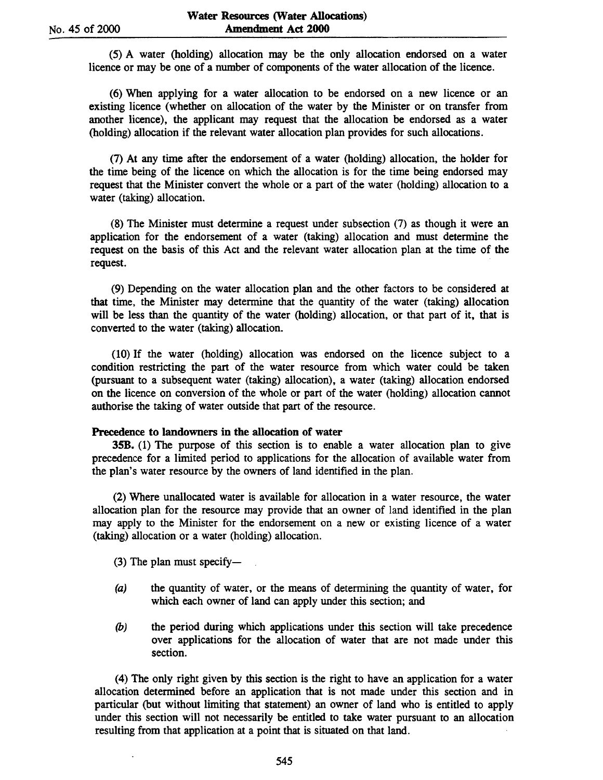(5) A water (holding) allocation may be the only allocation endorsed on a water licence or may be one of a number of components of the water allocation of the licence.

(6) When applying for a water allocation to be endorsed on a new licence or an existing licence (whether on allocation of the water by the Minister or on transfer from another licence), the applicant may request that the allocation be endorsed as a water (holding) allocation if the relevant water allocation plan provides for such allocations.

(7) At any time after the endorsement of a water (holding) allocation, the holder for the time being of the licence on which the allocation is for the time being endorsed may request that the Minister convert the whole or a part of the water (holding) allocation to a water (taking) allocation.

(8) The Minister must determine a request under subsection (7) as though it were an application for the endorsement of a water (taking) allocation and must determine the request on the basis of this Act and the relevant water allocation plan at the time of the request.

(9) Depending on the water allocation plan and the other factors to be considered at that time, the Minister may determine that the quantity of the water (taking) allocation will be less than the quantity of the water (holding) allocation, or that part of it, that is converted to the water (taking) allocation.

(10) If the water (holding) allocation was endorsed on the licence subject to a condition restricting the part of the water resource from which water could be taken (pursuant to a subsequent water (taking) allocation), a water (taking) allocation endorsed on the licence on conversion of the whole or part of the water (holding) allocation cannot authorise the taking of water outside that part of the resource.

#### Precedence to landowners in the allocation of water

35B. (1) The purpose of this section is to enable a water allocation plan to give precedence for a limited period to applications for the allocation of available water from the plan's water resource by the owners of land identified in the plan.

(2) Where unallocated water is available for allocation in a water resource, the water allocation plan for the resource may provide that an owner of land identified in the plan may apply to the Minister for the endorsement on a new or existing licence of a water (taking) allocation or a water (holding) allocation.

 $(3)$  The plan must specify-

- (a) the quantity of water, or the means of determining the quantity of water, for which each owner of land can apply under this section; and
- (b) the period during which applications under this section will take precedence over applications for the allocation of water that are not made under this section.

(4) The only right given by this section is the right to have an application for a water allocation determined before an application that is not made under this section and in particular (but without limiting that statement) an owner of land who is entitled to apply under this section will not necessarily be entitled to take water pursuant to an allocation resulting from that application at a point that is situated on that land.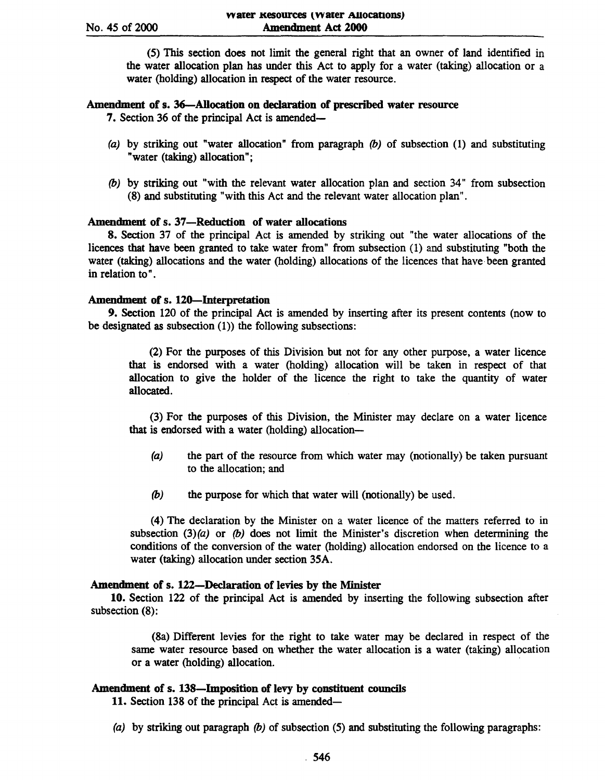(5) This section does not limit the general right that an owner of land identified in the water allocation plan has under this Act to apply for a water (taking) allocation or a water (holding) allocation in respect of the water resource.

# Amendment of s. 36-Allocation on declaration of prescribed water resource

7. Section 36 of the principal Act is amended-

- (a) by striking out "water allocation" from paragraph  $(b)$  of subsection (1) and substituting "water (taking) allocation";
- (b) by striking out "with the relevant water allocation plan and section 34" from subsection (8) and substituting "with this Act and the relevant water allocation plan".

# Amendment of s. 37-Reduction of water allocations

8. Section 37 of the principal Act is amended by striking out "the water allocations of the licences that have been granted to take water from" from subsection (1) and substituting "both the water (taking) allocations and the water (holding) allocations of the licences that have been granted in relation to" .

# Amendment of s. 12O-Interpretation

9. Section 120 of the principal Act is amended by inserting after its present contents (now to be designated as subsection  $(1)$ ) the following subsections:

(2) For the purposes of this Division but not for any other purpose, a water licence that is endorsed with a water (holding) allocation will be taken in respect of that allocation to give the holder of the licence the right to take the quantity of water allocated.

(3) For the purposes of this Division, the Minister may declare on a water licence that is endorsed with a water (holding) allocation-

- (a) the part of the resource from which water may (notionally) be taken pursuant to the allocation; and
- (b) the purpose for which that water will (notionally) be used.

(4) The declaration by the Minister on a water licence of the matters referred to in subsection  $(3)(a)$  or  $(b)$  does not limit the Minister's discretion when determining the conditions of the conversion of the water (holding) allocation endorsed on the licence to a water (taking) allocation under section 35A.

# Amendment of s. 122-DecIaration of levies by the Minister

10. Section 122 of the principal Act is amended by inserting the following subsection after subsection (8):

(8a) Different levies for the right to take water may be declared in respect of the same water resource based on whether the water allocation is a water (taking) allocation or a water (holding) allocation.

# Amendment of s. 138-Imposition of levy by constituent councils

11. Section 138 of the principal Act is amended-

(a) by striking out paragraph  $(b)$  of subsection (5) and substituting the following paragraphs: